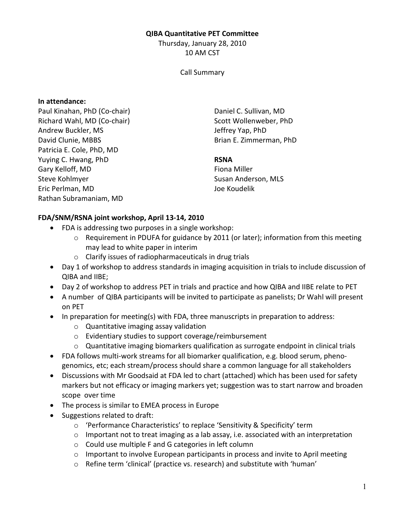### QIBA Quantitative PET Committee

Thursday, January 28, 2010 10 AM CST

### Call Summary

### In attendance:

Paul Kinahan, PhD (Co-chair) Richard Wahl, MD (Co-chair) Andrew Buckler, MS David Clunie, MBBS Patricia E. Cole, PhD, MD Yuying C. Hwang, PhD Gary Kelloff, MD Steve Kohlmyer Eric Perlman, MD Rathan Subramaniam, MD

Daniel C. Sullivan, MD Scott Wollenweber, PhD Jeffrey Yap, PhD Brian E. Zimmerman, PhD

## RSNA

Fiona Miller Susan Anderson, MLS Joe Koudelik

# FDA/SNM/RSNA joint workshop, April 13-14, 2010

- FDA is addressing two purposes in a single workshop:
	- $\circ$  Requirement in PDUFA for guidance by 2011 (or later); information from this meeting may lead to white paper in interim
	- o Clarify issues of radiopharmaceuticals in drug trials
- Day 1 of workshop to address standards in imaging acquisition in trials to include discussion of QIBA and IIBE;
- Day 2 of workshop to address PET in trials and practice and how QIBA and IIBE relate to PET
- A number of QIBA participants will be invited to participate as panelists; Dr Wahl will present on PET
- In preparation for meeting(s) with FDA, three manuscripts in preparation to address:
	- o Quantitative imaging assay validation
	- o Evidentiary studies to support coverage/reimbursement
	- $\circ$  Quantitative imaging biomarkers qualification as surrogate endpoint in clinical trials
- FDA follows multi-work streams for all biomarker qualification, e.g. blood serum, phenogenomics, etc; each stream/process should share a common language for all stakeholders
- Discussions with Mr Goodsaid at FDA led to chart (attached) which has been used for safety markers but not efficacy or imaging markers yet; suggestion was to start narrow and broaden scope over time
- The process is similar to EMEA process in Europe
- Suggestions related to draft:
	- o 'Performance Characteristics' to replace 'Sensitivity & Specificity' term
	- $\circ$  Important not to treat imaging as a lab assay, i.e. associated with an interpretation
	- o Could use multiple F and G categories in left column
	- $\circ$  Important to involve European participants in process and invite to April meeting
	- o Refine term 'clinical' (practice vs. research) and substitute with 'human'